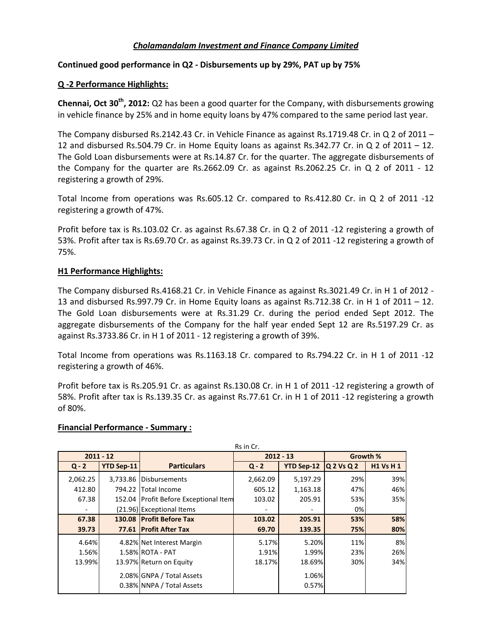# *Cholamandalam Investment and Finance Company Limited*

## **Continued good performance in Q2 ‐ Disbursements up by 29%, PAT up by 75%**

## **Q ‐2 Performance Highlights:**

**Chennai, Oct 30th, 2012:** Q2 has been a good quarter for the Company, with disbursements growing in vehicle finance by 25% and in home equity loans by 47% compared to the same period last year.

The Company disbursed Rs.2142.43 Cr. in Vehicle Finance as against Rs.1719.48 Cr. in Q 2 of 2011 – 12 and disbursed Rs.504.79 Cr. in Home Equity loans as against Rs.342.77 Cr. in Q 2 of 2011 – 12. The Gold Loan disbursements were at Rs.14.87 Cr. for the quarter. The aggregate disbursements of the Company for the quarter are Rs.2662.09 Cr. as against Rs.2062.25 Cr. in Q 2 of 2011 - 12 registering a growth of 29%.

Total Income from operations was Rs.605.12 Cr. compared to Rs.412.80 Cr. in Q 2 of 2011 ‐12 registering a growth of 47%.

Profit before tax is Rs.103.02 Cr. as against Rs.67.38 Cr. in Q 2 of 2011 ‐12 registering a growth of 53%. Profit after tax is Rs.69.70 Cr. as against Rs.39.73 Cr. in Q 2 of 2011 ‐12 registering a growth of 75%.

# **H1 Performance Highlights:**

The Company disbursed Rs.4168.21 Cr. in Vehicle Finance as against Rs.3021.49 Cr. in H 1 of 2012 -13 and disbursed Rs.997.79 Cr. in Home Equity loans as against Rs.712.38 Cr. in H 1 of 2011 – 12. The Gold Loan disbursements were at Rs.31.29 Cr. during the period ended Sept 2012. The aggregate disbursements of the Company for the half year ended Sept 12 are Rs.5197.29 Cr. as against Rs.3733.86 Cr. in H 1 of 2011 ‐ 12 registering a growth of 39%.

Total Income from operations was Rs.1163.18 Cr. compared to Rs.794.22 Cr. in H 1 of 2011 ‐12 registering a growth of 46%.

Profit before tax is Rs.205.91 Cr. as against Rs.130.08 Cr. in H 1 of 2011 ‐12 registering a growth of 58%. Profit after tax is Rs.139.35 Cr. as against Rs.77.61 Cr. in H 1 of 2011 ‐12 registering a growth of 80%.

#### **Financial Performance ‐ Summary :**

| Rs in Cr.   |            |                                                        |          |                   |            |                 |  |  |  |
|-------------|------------|--------------------------------------------------------|----------|-------------------|------------|-----------------|--|--|--|
| $2011 - 12$ |            | $2012 - 13$                                            |          |                   | Growth %   |                 |  |  |  |
| $Q - 2$     | YTD Sep-11 | <b>Particulars</b>                                     | $Q - 2$  | <b>YTD Sep-12</b> | Q 2 Vs Q 2 | <b>H1 Vs H1</b> |  |  |  |
| 2,062.25    |            | 3,733.86 Disbursements                                 | 2,662.09 | 5,197.29          | 29%        | 39%             |  |  |  |
| 412.80      | 794.22     | <b>Total Income</b>                                    | 605.12   | 1,163.18          | 47%        | 46%             |  |  |  |
| 67.38       |            | 152.04 Profit Before Exceptional Item                  | 103.02   | 205.91            | 53%        | 35%             |  |  |  |
|             |            | (21.96) Exceptional Items                              |          |                   | 0%         |                 |  |  |  |
| 67.38       | 130.08     | <b>IProfit Before Tax</b>                              | 103.02   | 205.91            | 53%        | 58%             |  |  |  |
| 39.73       | 77.61      | <b>IProfit After Tax</b>                               | 69.70    | 139.35            | 75%        | 80%             |  |  |  |
| 4.64%       |            | 4.82% Net Interest Margin                              | 5.17%    | 5.20%             | 11%        | 8%              |  |  |  |
| 1.56%       |            | 1.58% ROTA - PAT                                       | 1.91%    | 1.99%             | 23%        | 26%             |  |  |  |
| 13.99%      |            | 13.97% Return on Equity                                | 18.17%   | 18.69%            | 30%        | 34%             |  |  |  |
|             |            | 2.08% GNPA / Total Assets<br>0.38% NNPA / Total Assets |          | 1.06%<br>0.57%    |            |                 |  |  |  |